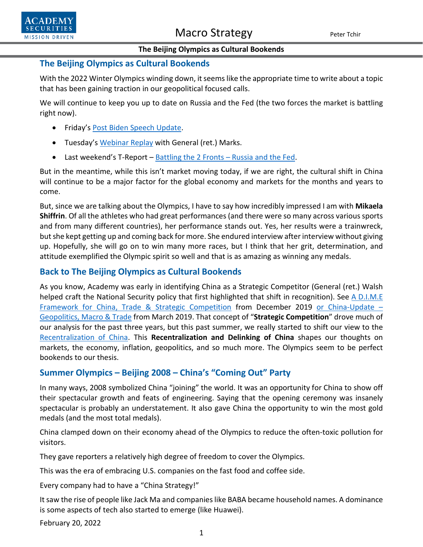

#### **The Beijing Olympics as Cultural Bookends**

#### **The Beijing Olympics as Cultural Bookends**

With the 2022 Winter Olympics winding down, it seems like the appropriate time to write about a topic that has been gaining traction in our geopolitical focused calls.

We will continue to keep you up to date on Russia and the Fed (the two forces the market is battling right now).

- Friday's [Post Biden Speech Update.](https://www.academysecurities.com/wordpress/wp-content/uploads/2022/02/Post-Biden-Updated-Stance.pdf)
- Tuesday's [Webinar Replay](https://www.youtube.com/watch?v=ordQWJwPTvs) with General (ret.) Marks.
- Last weekend's T-Report [Battling the 2 Fronts –](https://www.academysecurities.com/macro-strategy-insights/) Russia and the Fed.

But in the meantime, while this isn't market moving today, if we are right, the cultural shift in China will continue to be a major factor for the global economy and markets for the months and years to come.

But, since we are talking about the Olympics, I have to say how incredibly impressed I am with **Mikaela Shiffrin**. Of all the athletes who had great performances (and there were so many across various sports and from many different countries), her performance stands out. Yes, her results were a trainwreck, but she kept getting up and coming back for more. She endured interview after interview without giving up. Hopefully, she will go on to win many more races, but I think that her grit, determination, and attitude exemplified the Olympic spirit so well and that is as amazing as winning any medals.

#### **Back to The Beijing Olympics as Cultural Bookends**

As you know, Academy was early in identifying China as a Strategic Competitor (General (ret.) Walsh helped craft the National Security policy that first highlighted that shift in recognition). See A D.I.M.E [Framework for China, Trade & Strategic Competition](https://www.academysecurities.com/wordpress/wp-content/uploads/2019/12/A-D.I.M.E.-Framework-for-China-Trade-Strategic-Competition.pdf) from December 2019 [or China-Update –](https://www.academysecurities.com/wordpress/wp-content/uploads/2019/04/China-Geopolitics-Macro-and-Trade.pdf) [Geopolitics, Macro & Trade](https://www.academysecurities.com/wordpress/wp-content/uploads/2019/04/China-Geopolitics-Macro-and-Trade.pdf) from March 2019. That concept of "**Strategic Competition**" drove much of our analysis for the past three years, but this past summer, we really started to shift our view to the [Recentralization of China.](https://www.academysecurities.com/wordpress/wp-content/uploads/2021/08/The-Recentralization-of-China.pdf) This **Recentralization and Delinking of China** shapes our thoughts on markets, the economy, inflation, geopolitics, and so much more. The Olympics seem to be perfect bookends to our thesis.

### **Summer Olympics – Beijing 2008 – China's "Coming Out" Party**

In many ways, 2008 symbolized China "joining" the world. It was an opportunity for China to show off their spectacular growth and feats of engineering. Saying that the opening ceremony was insanely spectacular is probably an understatement. It also gave China the opportunity to win the most gold medals (and the most total medals).

China clamped down on their economy ahead of the Olympics to reduce the often-toxic pollution for visitors.

They gave reporters a relatively high degree of freedom to cover the Olympics.

This was the era of embracing U.S. companies on the fast food and coffee side.

Every company had to have a "China Strategy!"

It saw the rise of people like Jack Ma and companies like BABA became household names. A dominance is some aspects of tech also started to emerge (like Huawei).

February 20, 2022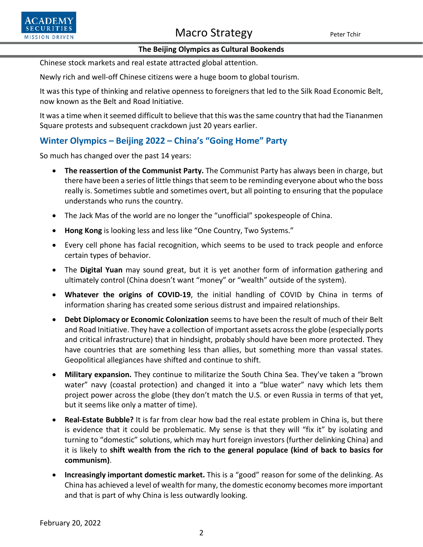# Macro Strategy Peter Tchir



#### **The Beijing Olympics as Cultural Bookends**

Chinese stock markets and real estate attracted global attention.

Newly rich and well-off Chinese citizens were a huge boom to global tourism.

It was this type of thinking and relative openness to foreigners that led to the Silk Road Economic Belt, now known as the Belt and Road Initiative.

It was a time when it seemed difficult to believe that this was the same country that had the Tiananmen Square protests and subsequent crackdown just 20 years earlier.

## **Winter Olympics – Beijing 2022 – China's "Going Home" Party**

So much has changed over the past 14 years:

- **The reassertion of the Communist Party.** The Communist Party has always been in charge, but there have been a series of little things that seem to be reminding everyone about who the boss really is. Sometimes subtle and sometimes overt, but all pointing to ensuring that the populace understands who runs the country.
- The Jack Mas of the world are no longer the "unofficial" spokespeople of China.
- **Hong Kong** is looking less and less like "One Country, Two Systems."
- Every cell phone has facial recognition, which seems to be used to track people and enforce certain types of behavior.
- The **Digital Yuan** may sound great, but it is yet another form of information gathering and ultimately control (China doesn't want "money" or "wealth" outside of the system).
- **Whatever the origins of COVID-19**, the initial handling of COVID by China in terms of information sharing has created some serious distrust and impaired relationships.
- **Debt Diplomacy or Economic Colonization** seems to have been the result of much of their Belt and Road Initiative. They have a collection of important assets across the globe (especially ports and critical infrastructure) that in hindsight, probably should have been more protected. They have countries that are something less than allies, but something more than vassal states. Geopolitical allegiances have shifted and continue to shift.
- **Military expansion.** They continue to militarize the South China Sea. They've taken a "brown water" navy (coastal protection) and changed it into a "blue water" navy which lets them project power across the globe (they don't match the U.S. or even Russia in terms of that yet, but it seems like only a matter of time).
- **Real-Estate Bubble?** It is far from clear how bad the real estate problem in China is, but there is evidence that it could be problematic. My sense is that they will "fix it" by isolating and turning to "domestic" solutions, which may hurt foreign investors (further delinking China) and it is likely to **shift wealth from the rich to the general populace (kind of back to basics for communism)**.
- **Increasingly important domestic market.** This is a "good" reason for some of the delinking. As China has achieved a level of wealth for many, the domestic economy becomes more important and that is part of why China is less outwardly looking.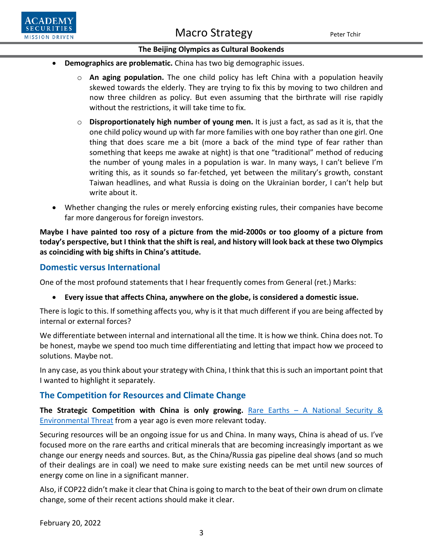Macro Strategy Peter Tchir



#### **The Beijing Olympics as Cultural Bookends**

- **Demographics are problematic.** China has two big demographic issues.
	- o **An aging population.** The one child policy has left China with a population heavily skewed towards the elderly. They are trying to fix this by moving to two children and now three children as policy. But even assuming that the birthrate will rise rapidly without the restrictions, it will take time to fix.
	- o **Disproportionately high number of young men.** It is just a fact, as sad as it is, that the one child policy wound up with far more families with one boy rather than one girl. One thing that does scare me a bit (more a back of the mind type of fear rather than something that keeps me awake at night) is that one "traditional" method of reducing the number of young males in a population is war. In many ways, I can't believe I'm writing this, as it sounds so far-fetched, yet between the military's growth, constant Taiwan headlines, and what Russia is doing on the Ukrainian border, I can't help but write about it.
- Whether changing the rules or merely enforcing existing rules, their companies have become far more dangerous for foreign investors.

**Maybe I have painted too rosy of a picture from the mid-2000s or too gloomy of a picture from today's perspective, but I think that the shift is real, and history will look back at these two Olympics as coinciding with big shifts in China's attitude.**

### **Domestic versus International**

One of the most profound statements that I hear frequently comes from General (ret.) Marks:

• **Every issue that affects China, anywhere on the globe, is considered a domestic issue.**

There is logic to this. If something affects you, why is it that much different if you are being affected by internal or external forces?

We differentiate between internal and international all the time. It is how we think. China does not. To be honest, maybe we spend too much time differentiating and letting that impact how we proceed to solutions. Maybe not.

In any case, as you think about your strategy with China, I think that this is such an important point that I wanted to highlight it separately.

### **The Competition for Resources and Climate Change**

The Strategic Competition with China is only growing. Rare Earths - A National Security & [Environmental Threat](https://www.academysecurities.com/rare-earth/) from a year ago is even more relevant today.

Securing resources will be an ongoing issue for us and China. In many ways, China is ahead of us. I've focused more on the rare earths and critical minerals that are becoming increasingly important as we change our energy needs and sources. But, as the China/Russia gas pipeline deal shows (and so much of their dealings are in coal) we need to make sure existing needs can be met until new sources of energy come on line in a significant manner.

Also, if COP22 didn't make it clear that China is going to march to the beat of their own drum on climate change, some of their recent actions should make it clear.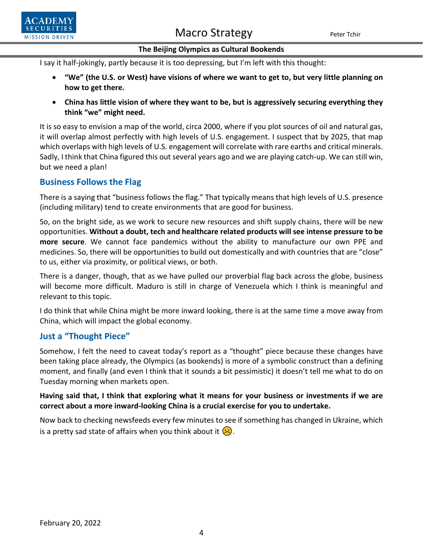



#### **The Beijing Olympics as Cultural Bookends**

I say it half-jokingly, partly because it is too depressing, but I'm left with this thought:

- **"We" (the U.S. or West) have visions of where we want to get to, but very little planning on how to get there.**
- **China has little vision of where they want to be, but is aggressively securing everything they think "we" might need.**

It is so easy to envision a map of the world, circa 2000, where if you plot sources of oil and natural gas, it will overlap almost perfectly with high levels of U.S. engagement. I suspect that by 2025, that map which overlaps with high levels of U.S. engagement will correlate with rare earths and critical minerals. Sadly, I think that China figured this out several years ago and we are playing catch-up. We can still win, but we need a plan!

### **Business Follows the Flag**

There is a saying that "business follows the flag." That typically means that high levels of U.S. presence (including military) tend to create environments that are good for business.

So, on the bright side, as we work to secure new resources and shift supply chains, there will be new opportunities. **Without a doubt, tech and healthcare related products will see intense pressure to be more secure**. We cannot face pandemics without the ability to manufacture our own PPE and medicines. So, there will be opportunities to build out domestically and with countries that are "close" to us, either via proximity, or political views, or both.

There is a danger, though, that as we have pulled our proverbial flag back across the globe, business will become more difficult. Maduro is still in charge of Venezuela which I think is meaningful and relevant to this topic.

I do think that while China might be more inward looking, there is at the same time a move away from China, which will impact the global economy.

### **Just a "Thought Piece"**

Somehow, I felt the need to caveat today's report as a "thought" piece because these changes have been taking place already, the Olympics (as bookends) is more of a symbolic construct than a defining moment, and finally (and even I think that it sounds a bit pessimistic) it doesn't tell me what to do on Tuesday morning when markets open.

### **Having said that, I think that exploring what it means for your business or investments if we are correct about a more inward-looking China is a crucial exercise for you to undertake.**

Now back to checking newsfeeds every few minutes to see if something has changed in Ukraine, which is a pretty sad state of affairs when you think about it  $\langle \cdot \rangle$ .